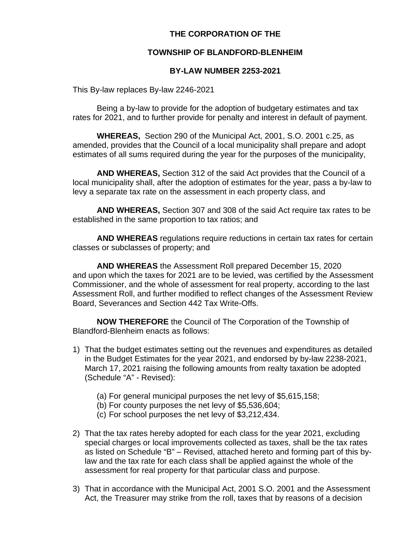# **THE CORPORATION OF THE**

# **TOWNSHIP OF BLANDFORD-BLENHEIM**

# **BY-LAW NUMBER 2253-2021**

This By-law replaces By-law 2246-2021

Being a by-law to provide for the adoption of budgetary estimates and tax rates for 2021, and to further provide for penalty and interest in default of payment.

**WHEREAS,** Section 290 of the Municipal Act, 2001, S.O. 2001 c.25, as amended, provides that the Council of a local municipality shall prepare and adopt estimates of all sums required during the year for the purposes of the municipality,

**AND WHEREAS,** Section 312 of the said Act provides that the Council of a local municipality shall, after the adoption of estimates for the year, pass a by-law to levy a separate tax rate on the assessment in each property class, and

**AND WHEREAS,** Section 307 and 308 of the said Act require tax rates to be established in the same proportion to tax ratios; and

**AND WHEREAS** regulations require reductions in certain tax rates for certain classes or subclasses of property; and

**AND WHEREAS** the Assessment Roll prepared December 15, 2020 and upon which the taxes for 2021 are to be levied, was certified by the Assessment Commissioner, and the whole of assessment for real property, according to the last Assessment Roll, and further modified to reflect changes of the Assessment Review Board, Severances and Section 442 Tax Write-Offs.

**NOW THEREFORE** the Council of The Corporation of the Township of Blandford-Blenheim enacts as follows:

- 1) That the budget estimates setting out the revenues and expenditures as detailed in the Budget Estimates for the year 2021, and endorsed by by-law 2238-2021, March 17, 2021 raising the following amounts from realty taxation be adopted (Schedule "A" - Revised):
	- (a) For general municipal purposes the net levy of \$5,615,158;
	- (b) For county purposes the net levy of \$5,536,604;
	- (c) For school purposes the net levy of \$3,212,434.
- 2) That the tax rates hereby adopted for each class for the year 2021, excluding special charges or local improvements collected as taxes, shall be the tax rates as listed on Schedule "B" – Revised, attached hereto and forming part of this bylaw and the tax rate for each class shall be applied against the whole of the assessment for real property for that particular class and purpose.
- 3) That in accordance with the Municipal Act, 2001 S.O. 2001 and the Assessment Act, the Treasurer may strike from the roll, taxes that by reasons of a decision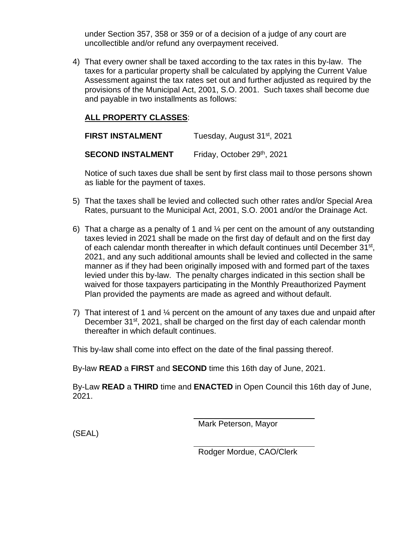under Section 357, 358 or 359 or of a decision of a judge of any court are uncollectible and/or refund any overpayment received.

4) That every owner shall be taxed according to the tax rates in this by-law. The taxes for a particular property shall be calculated by applying the Current Value Assessment against the tax rates set out and further adjusted as required by the provisions of the Municipal Act, 2001, S.O. 2001. Such taxes shall become due and payable in two installments as follows:

# **ALL PROPERTY CLASSES**:

| <b>FIRST INSTALMENT</b>  | Tuesday, August 31 <sup>st</sup> , 2021 |  |  |  |  |
|--------------------------|-----------------------------------------|--|--|--|--|
| <b>SECOND INSTALMENT</b> | Friday, October 29th, 2021              |  |  |  |  |

Notice of such taxes due shall be sent by first class mail to those persons shown as liable for the payment of taxes.

- 5) That the taxes shall be levied and collected such other rates and/or Special Area Rates, pursuant to the Municipal Act, 2001, S.O. 2001 and/or the Drainage Act.
- 6) That a charge as a penalty of 1 and  $\frac{1}{4}$  per cent on the amount of any outstanding taxes levied in 2021 shall be made on the first day of default and on the first day of each calendar month thereafter in which default continues until December 31<sup>st</sup>, 2021, and any such additional amounts shall be levied and collected in the same manner as if they had been originally imposed with and formed part of the taxes levied under this by-law. The penalty charges indicated in this section shall be waived for those taxpayers participating in the Monthly Preauthorized Payment Plan provided the payments are made as agreed and without default.
- 7) That interest of 1 and ¼ percent on the amount of any taxes due and unpaid after December 31<sup>st</sup>, 2021, shall be charged on the first day of each calendar month thereafter in which default continues.

This by-law shall come into effect on the date of the final passing thereof.

By-law **READ** a **FIRST** and **SECOND** time this 16th day of June, 2021.

By-Law **READ** a **THIRD** time and **ENACTED** in Open Council this 16th day of June, 2021.

Mark Peterson, Mayor

(SEAL)

Rodger Mordue, CAO/Clerk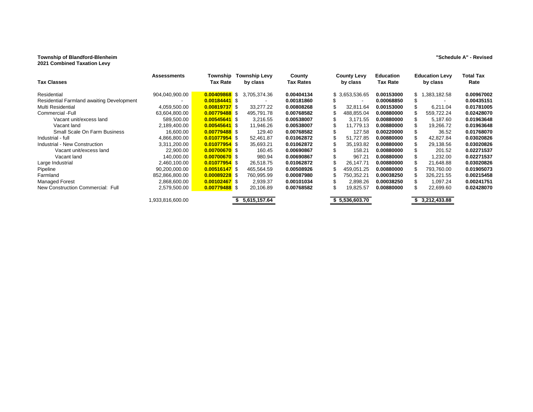### **Township of Blandford-Blenheim "Schedule A" - Revised**

| <b>Tax Classes</b>                        | <b>Assessments</b> | Township<br>Tax Rate | <b>Township Levy</b><br>by class | County<br><b>Tax Rates</b> | <b>County Levy</b><br>by class | <b>Education</b><br><b>Tax Rate</b> | <b>Education Levy</b><br>by class | Total Tax<br>Rate |
|-------------------------------------------|--------------------|----------------------|----------------------------------|----------------------------|--------------------------------|-------------------------------------|-----------------------------------|-------------------|
| Residential                               | 904,040,900.00     | 0.00409868 \$        | 3,705,374.36                     | 0.00404134                 | \$ 3,653,536.65                | 0.00153000                          | .383,182.58<br>s 1                | 0.00967002        |
| Residential Farmland awaiting Development |                    | 0.00184441 \$        |                                  | 0.00181860                 |                                | 0.00068850                          |                                   | 0.00435151        |
| Multi Residential                         | 4,059,500.00       | 0.00819737 \$        | 33,277.22                        | 0.00808268                 | 32,811.64                      | 0.00153000                          | 6,211.04                          | 0.01781005        |
| Commercial -Full                          | 63,604,800.00      | 0.00779488 \$        | 495,791.78                       | 0.00768582                 | 488,855.04                     | 0.00880000                          | 559,722.24                        | 0.02428070        |
| Vacant unit/excess land                   | 589,500.00         | $0.00545641$ \$      | 3,216.55                         | 0.00538007                 | 3,171.55                       | 0.00880000                          | 5,187.60                          | 0.01963648        |
| Vacant land                               | 2,189,400.00       | $0.00545641$ \$      | 11,946.26                        | 0.00538007                 | 11.779.13                      | 0.00880000                          | 19,266.72                         | 0.01963648        |
| Small Scale On Farm Business              | 16.600.00          | 0.00779488 \$        | 129.40                           | 0.00768582                 | 127.58                         | 0.00220000                          | 36.52                             | 0.01768070        |
| Industrial - full                         | 4,866,800.00       | 0.01077954 \$        | 52,461.87                        | 0.01062872                 | 51,727.85                      | 0.00880000                          | 42,827.84                         | 0.03020826        |
| Industrial - New Construction             | 3,311,200.00       | 0.01077954 \$        | 35,693.21                        | 0.01062872                 | 35,193.82                      | 0.00880000                          | 29,138.56                         | 0.03020826        |
| Vacant unit/excess land                   | 22,900.00          | 0.00700670 \$        | 160.45                           | 0.00690867                 | 158.21                         | 0.00880000                          | 201.52                            | 0.02271537        |
| Vacant land                               | 140.000.00         | 0.00700670 \$        | 980.94                           | 0.00690867                 | 967.21                         | 0.00880000                          | 1,232.00                          | 0.02271537        |
| Large Industrial                          | 2,460,100.00       | $0.01077954$ \$      | 26,518.75                        | 0.01062872                 | 26,147.71                      | 0.00880000                          | 21,648.88                         | 0.03020826        |
| Pipeline                                  | 90,200,000.00      | $0.00516147$ \$      | 465,564.59                       | 0.00508926                 | 459,051.25                     | 0.00880000                          | 793,760.00                        | 0.01905073        |
| Farmland                                  | 852,866,800.00     | $0.00089228$ \$      | 760,995.99                       | 0.00087980                 | 750.352.21                     | 0.00038250                          | 326,221.55                        | 0.00215458        |
| <b>Managed Forest</b>                     | 2,868,600.00       | $0.00102467$ \$      | 2,939.37                         | 0.00101034                 | 2,898.26                       | 0.00038250                          | 1.097.24                          | 0.00241751        |
| New Construction Commercial: Full         | 2,579,500.00       | $0.00779488$ \$      | 20,106.89                        | 0.00768582                 | 19,825.57<br>ß.                | 0.00880000                          | 22,699.60                         | 0.02428070        |
|                                           | 1,933,816,600.00   |                      | 5,615,157.64                     |                            | \$5,536,603.70                 |                                     | 3,212,433.88                      |                   |